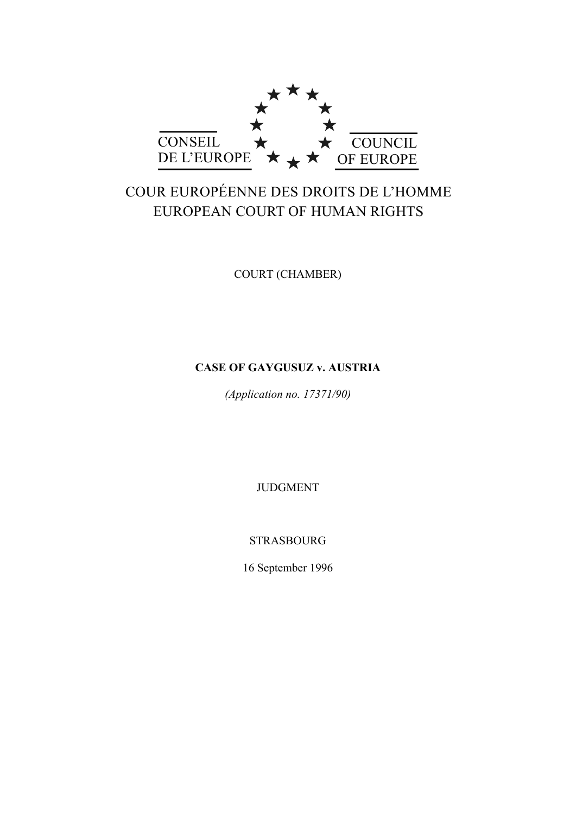

# COUR EUROPÉENNE DES DROITS DE L'HOMME EUROPEAN COURT OF HUMAN RIGHTS

COURT (CHAMBER)

# **CASE OF GAYGUSUZ v. AUSTRIA**

*(Application no. 17371/90)*

JUDGMENT

STRASBOURG

16 September 1996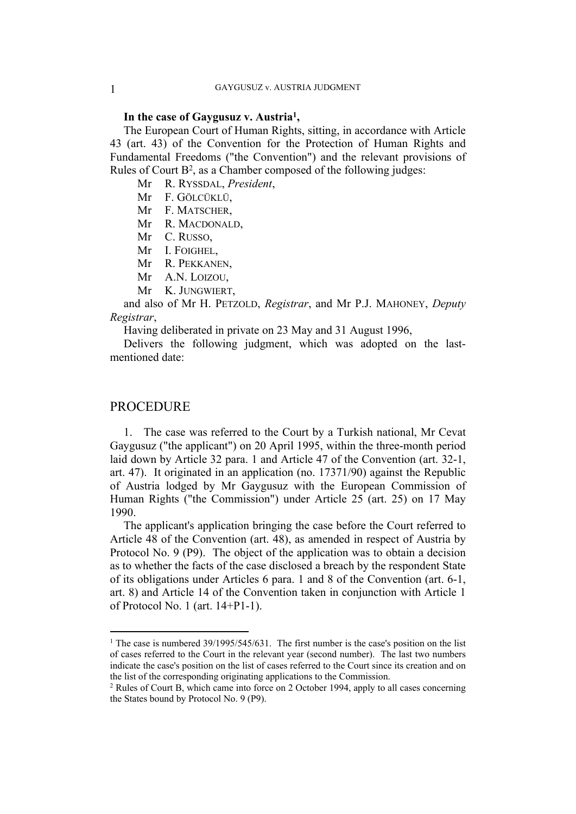# **In the case of Gaygusuz v. Austria<sup>1</sup> ,**

The European Court of Human Rights, sitting, in accordance with Article 43 (art. 43) of the Convention for the Protection of Human Rights and Fundamental Freedoms ("the Convention") and the relevant provisions of Rules of Court B<sup>2</sup>, as a Chamber composed of the following judges:

Mr R. RYSSDAL, *President*,

Mr F. GÖLCÜKLÜ,

Mr F. MATSCHER,

Mr R. MACDONALD,

Mr C. RUSSO,

Mr I. FOIGHEL,

Mr R. PEKKANEN,

Mr A.N. LOIZOU,

Mr K. JUNGWIERT,

and also of Mr H. PETZOLD, *Registrar*, and Mr P.J. MAHONEY, *Deputy Registrar*,

Having deliberated in private on 23 May and 31 August 1996,

Delivers the following judgment, which was adopted on the lastmentioned date:

# PROCEDURE

1. The case was referred to the Court by a Turkish national, Mr Cevat Gaygusuz ("the applicant") on 20 April 1995, within the three-month period laid down by Article 32 para. 1 and Article 47 of the Convention (art. 32-1, art. 47). It originated in an application (no. 17371/90) against the Republic of Austria lodged by Mr Gaygusuz with the European Commission of Human Rights ("the Commission") under Article 25 (art. 25) on 17 May 1990.

The applicant's application bringing the case before the Court referred to Article 48 of the Convention (art. 48), as amended in respect of Austria by Protocol No. 9 (P9). The object of the application was to obtain a decision as to whether the facts of the case disclosed a breach by the respondent State of its obligations under Articles 6 para. 1 and 8 of the Convention (art. 6-1, art. 8) and Article 14 of the Convention taken in conjunction with Article 1 of Protocol No. 1 (art. 14+P1-1).

<sup>&</sup>lt;sup>1</sup> The case is numbered  $39/1995/545/631$ . The first number is the case's position on the list of cases referred to the Court in the relevant year (second number). The last two numbers indicate the case's position on the list of cases referred to the Court since its creation and on the list of the corresponding originating applications to the Commission.

<sup>2</sup> Rules of Court B, which came into force on 2 October 1994, apply to all cases concerning the States bound by Protocol No. 9 (P9).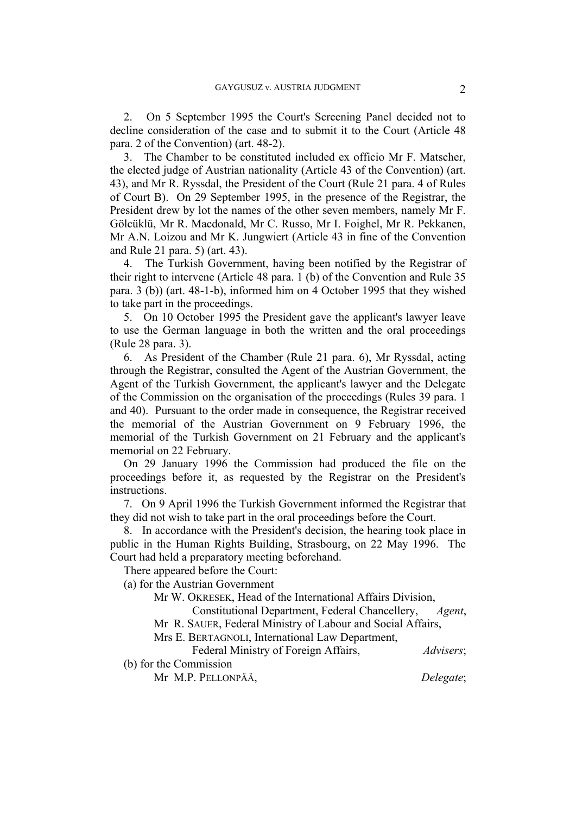2. On 5 September 1995 the Court's Screening Panel decided not to decline consideration of the case and to submit it to the Court (Article 48 para. 2 of the Convention) (art. 48-2).

3. The Chamber to be constituted included ex officio Mr F. Matscher, the elected judge of Austrian nationality (Article 43 of the Convention) (art. 43), and Mr R. Ryssdal, the President of the Court (Rule 21 para. 4 of Rules of Court B). On 29 September 1995, in the presence of the Registrar, the President drew by lot the names of the other seven members, namely Mr F. Gölcüklü, Mr R. Macdonald, Mr C. Russo, Mr I. Foighel, Mr R. Pekkanen, Mr A.N. Loizou and Mr K. Jungwiert (Article 43 in fine of the Convention and Rule 21 para. 5) (art. 43).

4. The Turkish Government, having been notified by the Registrar of their right to intervene (Article 48 para. 1 (b) of the Convention and Rule 35 para. 3 (b)) (art. 48-1-b), informed him on 4 October 1995 that they wished to take part in the proceedings.

5. On 10 October 1995 the President gave the applicant's lawyer leave to use the German language in both the written and the oral proceedings (Rule 28 para. 3).

6. As President of the Chamber (Rule 21 para. 6), Mr Ryssdal, acting through the Registrar, consulted the Agent of the Austrian Government, the Agent of the Turkish Government, the applicant's lawyer and the Delegate of the Commission on the organisation of the proceedings (Rules 39 para. 1 and 40). Pursuant to the order made in consequence, the Registrar received the memorial of the Austrian Government on 9 February 1996, the memorial of the Turkish Government on 21 February and the applicant's memorial on 22 February.

On 29 January 1996 the Commission had produced the file on the proceedings before it, as requested by the Registrar on the President's instructions.

7. On 9 April 1996 the Turkish Government informed the Registrar that they did not wish to take part in the oral proceedings before the Court.

8. In accordance with the President's decision, the hearing took place in public in the Human Rights Building, Strasbourg, on 22 May 1996. The Court had held a preparatory meeting beforehand.

There appeared before the Court:

(a) for the Austrian Government

Mr W. OKRESEK, Head of the International Affairs Division,

Constitutional Department, Federal Chancellery, *Agent*,

Mr R. SAUER, Federal Ministry of Labour and Social Affairs,

Mrs E. BERTAGNOLI, International Law Department,

Federal Ministry of Foreign Affairs, *Advisers*;

(b) for the Commission

Mr M.P. PELLONPÄÄ, *Delegate*;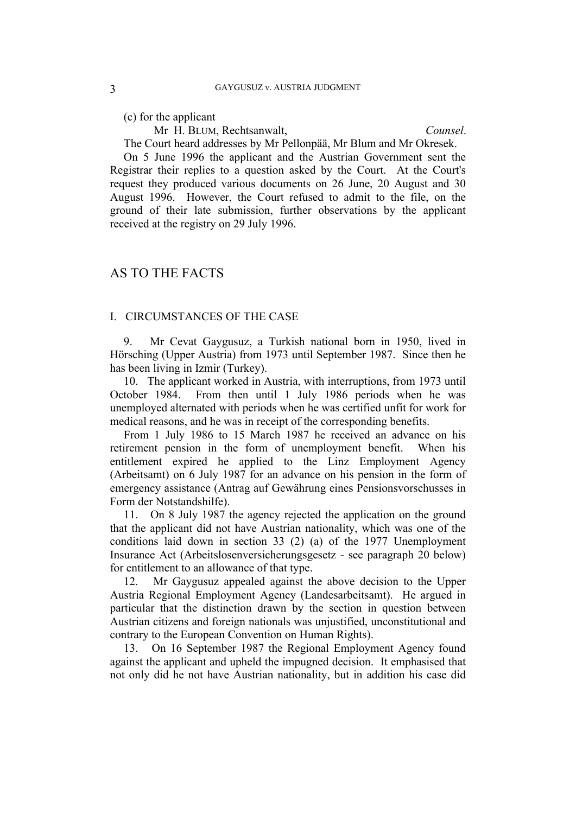(c) for the applicant

Mr H. BLUM, Rechtsanwalt, *Counsel*.

The Court heard addresses by Mr Pellonpää, Mr Blum and Mr Okresek.

On 5 June 1996 the applicant and the Austrian Government sent the Registrar their replies to a question asked by the Court. At the Court's request they produced various documents on 26 June, 20 August and 30 August 1996. However, the Court refused to admit to the file, on the ground of their late submission, further observations by the applicant received at the registry on 29 July 1996.

# AS TO THE FACTS

### I. CIRCUMSTANCES OF THE CASE

9. Mr Cevat Gaygusuz, a Turkish national born in 1950, lived in Hörsching (Upper Austria) from 1973 until September 1987. Since then he has been living in Izmir (Turkey).

10. The applicant worked in Austria, with interruptions, from 1973 until October 1984. From then until 1 July 1986 periods when he was unemployed alternated with periods when he was certified unfit for work for medical reasons, and he was in receipt of the corresponding benefits.

From 1 July 1986 to 15 March 1987 he received an advance on his retirement pension in the form of unemployment benefit. When his entitlement expired he applied to the Linz Employment Agency (Arbeitsamt) on 6 July 1987 for an advance on his pension in the form of emergency assistance (Antrag auf Gewährung eines Pensionsvorschusses in Form der Notstandshilfe).

11. On 8 July 1987 the agency rejected the application on the ground that the applicant did not have Austrian nationality, which was one of the conditions laid down in section 33 (2) (a) of the 1977 Unemployment Insurance Act (Arbeitslosenversicherungsgesetz - see paragraph 20 below) for entitlement to an allowance of that type.

12. Mr Gaygusuz appealed against the above decision to the Upper Austria Regional Employment Agency (Landesarbeitsamt). He argued in particular that the distinction drawn by the section in question between Austrian citizens and foreign nationals was unjustified, unconstitutional and contrary to the European Convention on Human Rights).

13. On 16 September 1987 the Regional Employment Agency found against the applicant and upheld the impugned decision. It emphasised that not only did he not have Austrian nationality, but in addition his case did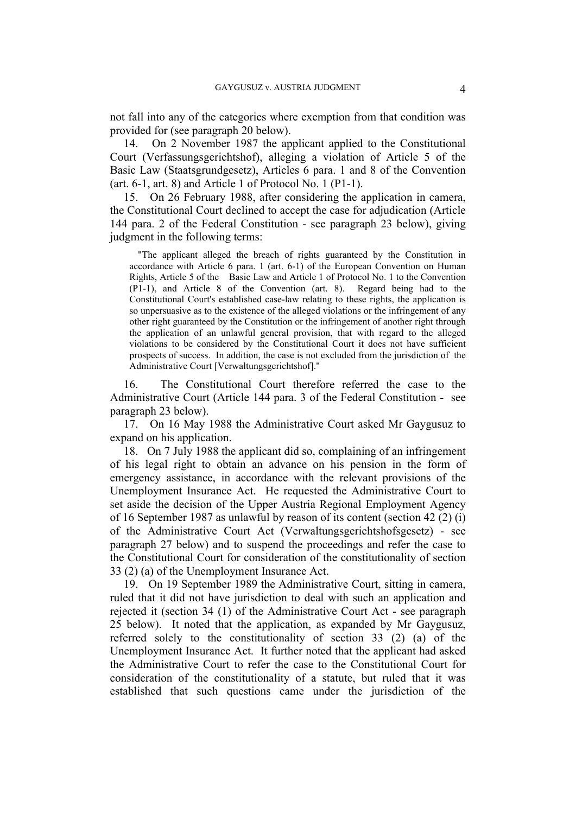not fall into any of the categories where exemption from that condition was provided for (see paragraph 20 below).

14. On 2 November 1987 the applicant applied to the Constitutional Court (Verfassungsgerichtshof), alleging a violation of Article 5 of the Basic Law (Staatsgrundgesetz), Articles 6 para. 1 and 8 of the Convention (art. 6-1, art. 8) and Article 1 of Protocol No. 1 (P1-1).

15. On 26 February 1988, after considering the application in camera, the Constitutional Court declined to accept the case for adjudication (Article 144 para. 2 of the Federal Constitution - see paragraph 23 below), giving judgment in the following terms:

"The applicant alleged the breach of rights guaranteed by the Constitution in accordance with Article 6 para. 1 (art. 6-1) of the European Convention on Human Rights, Article 5 of the Basic Law and Article 1 of Protocol No. 1 to the Convention (P1-1), and Article 8 of the Convention (art. 8). Regard being had to the Constitutional Court's established case-law relating to these rights, the application is so unpersuasive as to the existence of the alleged violations or the infringement of any other right guaranteed by the Constitution or the infringement of another right through the application of an unlawful general provision, that with regard to the alleged violations to be considered by the Constitutional Court it does not have sufficient prospects of success. In addition, the case is not excluded from the jurisdiction of the Administrative Court [Verwaltungsgerichtshof]."

16. The Constitutional Court therefore referred the case to the Administrative Court (Article 144 para. 3 of the Federal Constitution - see paragraph 23 below).

17. On 16 May 1988 the Administrative Court asked Mr Gaygusuz to expand on his application.

18. On 7 July 1988 the applicant did so, complaining of an infringement of his legal right to obtain an advance on his pension in the form of emergency assistance, in accordance with the relevant provisions of the Unemployment Insurance Act. He requested the Administrative Court to set aside the decision of the Upper Austria Regional Employment Agency of 16 September 1987 as unlawful by reason of its content (section 42 (2) (i) of the Administrative Court Act (Verwaltungsgerichtshofsgesetz) - see paragraph 27 below) and to suspend the proceedings and refer the case to the Constitutional Court for consideration of the constitutionality of section 33 (2) (a) of the Unemployment Insurance Act.

19. On 19 September 1989 the Administrative Court, sitting in camera, ruled that it did not have jurisdiction to deal with such an application and rejected it (section 34 (1) of the Administrative Court Act - see paragraph 25 below). It noted that the application, as expanded by Mr Gaygusuz, referred solely to the constitutionality of section 33 (2) (a) of the Unemployment Insurance Act. It further noted that the applicant had asked the Administrative Court to refer the case to the Constitutional Court for consideration of the constitutionality of a statute, but ruled that it was established that such questions came under the jurisdiction of the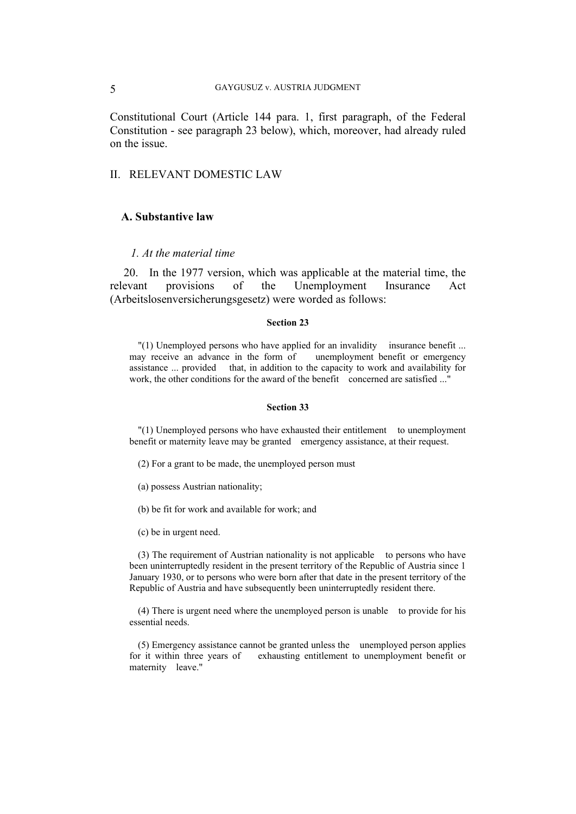Constitutional Court (Article 144 para. 1, first paragraph, of the Federal Constitution - see paragraph 23 below), which, moreover, had already ruled on the issue.

# II. RELEVANT DOMESTIC LAW

# **A. Substantive law**

### *1. At the material time*

20. In the 1977 version, which was applicable at the material time, the relevant provisions of the Unemployment Insurance Act (Arbeitslosenversicherungsgesetz) were worded as follows:

#### **Section 23**

"(1) Unemployed persons who have applied for an invalidity insurance benefit ... may receive an advance in the form of unemployment benefit or emergency assistance ... provided that, in addition to the capacity to work and availability for work, the other conditions for the award of the benefit concerned are satisfied ..."

#### **Section 33**

"(1) Unemployed persons who have exhausted their entitlement to unemployment benefit or maternity leave may be granted emergency assistance, at their request.

(2) For a grant to be made, the unemployed person must

- (a) possess Austrian nationality;
- (b) be fit for work and available for work; and
- (c) be in urgent need.

(3) The requirement of Austrian nationality is not applicable to persons who have been uninterruptedly resident in the present territory of the Republic of Austria since 1 January 1930, or to persons who were born after that date in the present territory of the Republic of Austria and have subsequently been uninterruptedly resident there.

(4) There is urgent need where the unemployed person is unable to provide for his essential needs.

(5) Emergency assistance cannot be granted unless the unemployed person applies for it within three years of exhausting entitlement to unemployment benefit or maternity leave."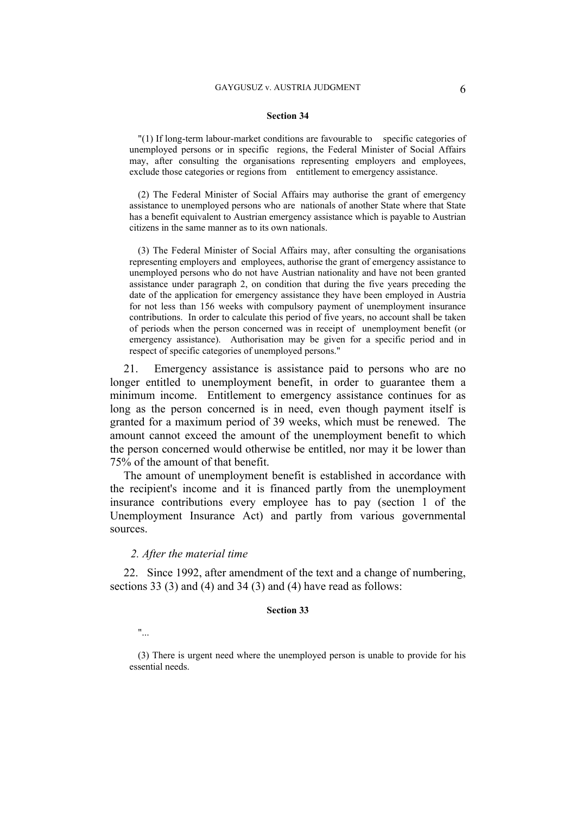#### **Section 34**

"(1) If long-term labour-market conditions are favourable to specific categories of unemployed persons or in specific regions, the Federal Minister of Social Affairs may, after consulting the organisations representing employers and employees, exclude those categories or regions from entitlement to emergency assistance.

(2) The Federal Minister of Social Affairs may authorise the grant of emergency assistance to unemployed persons who are nationals of another State where that State has a benefit equivalent to Austrian emergency assistance which is payable to Austrian citizens in the same manner as to its own nationals.

(3) The Federal Minister of Social Affairs may, after consulting the organisations representing employers and employees, authorise the grant of emergency assistance to unemployed persons who do not have Austrian nationality and have not been granted assistance under paragraph 2, on condition that during the five years preceding the date of the application for emergency assistance they have been employed in Austria for not less than 156 weeks with compulsory payment of unemployment insurance contributions. In order to calculate this period of five years, no account shall be taken of periods when the person concerned was in receipt of unemployment benefit (or emergency assistance). Authorisation may be given for a specific period and in respect of specific categories of unemployed persons."

21. Emergency assistance is assistance paid to persons who are no longer entitled to unemployment benefit, in order to guarantee them a minimum income. Entitlement to emergency assistance continues for as long as the person concerned is in need, even though payment itself is granted for a maximum period of 39 weeks, which must be renewed. The amount cannot exceed the amount of the unemployment benefit to which the person concerned would otherwise be entitled, nor may it be lower than 75% of the amount of that benefit.

The amount of unemployment benefit is established in accordance with the recipient's income and it is financed partly from the unemployment insurance contributions every employee has to pay (section 1 of the Unemployment Insurance Act) and partly from various governmental sources.

#### *2. After the material time*

22. Since 1992, after amendment of the text and a change of numbering, sections 33 (3) and (4) and 34 (3) and (4) have read as follows:

#### **Section 33**

"...

(3) There is urgent need where the unemployed person is unable to provide for his essential needs.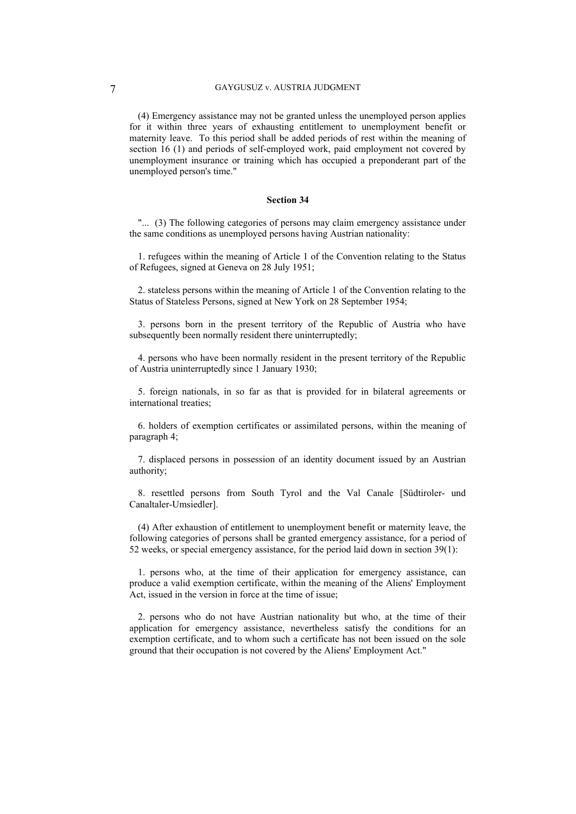(4) Emergency assistance may not be granted unless the unemployed person applies for it within three years of exhausting entitlement to unemployment benefit or maternity leave. To this period shall be added periods of rest within the meaning of section 16 (1) and periods of self-employed work, paid employment not covered by unemployment insurance or training which has occupied a preponderant part of the unemployed person's time."

### **Section 34**

"... (3) The following categories of persons may claim emergency assistance under the same conditions as unemployed persons having Austrian nationality:

1. refugees within the meaning of Article 1 of the Convention relating to the Status of Refugees, signed at Geneva on 28 July 1951;

2. stateless persons within the meaning of Article 1 of the Convention relating to the Status of Stateless Persons, signed at New York on 28 September 1954;

3. persons born in the present territory of the Republic of Austria who have subsequently been normally resident there uninterruptedly;

4. persons who have been normally resident in the present territory of the Republic of Austria uninterruptedly since 1 January 1930;

5. foreign nationals, in so far as that is provided for in bilateral agreements or international treaties;

6. holders of exemption certificates or assimilated persons, within the meaning of paragraph 4;

7. displaced persons in possession of an identity document issued by an Austrian authority;

8. resettled persons from South Tyrol and the Val Canale [Südtiroler- und Canaltaler-Umsiedler].

(4) After exhaustion of entitlement to unemployment benefit or maternity leave, the following categories of persons shall be granted emergency assistance, for a period of 52 weeks, or special emergency assistance, for the period laid down in section 39(1):

1. persons who, at the time of their application for emergency assistance, can produce a valid exemption certificate, within the meaning of the Aliens' Employment Act, issued in the version in force at the time of issue;

2. persons who do not have Austrian nationality but who, at the time of their application for emergency assistance, nevertheless satisfy the conditions for an exemption certificate, and to whom such a certificate has not been issued on the sole ground that their occupation is not covered by the Aliens' Employment Act."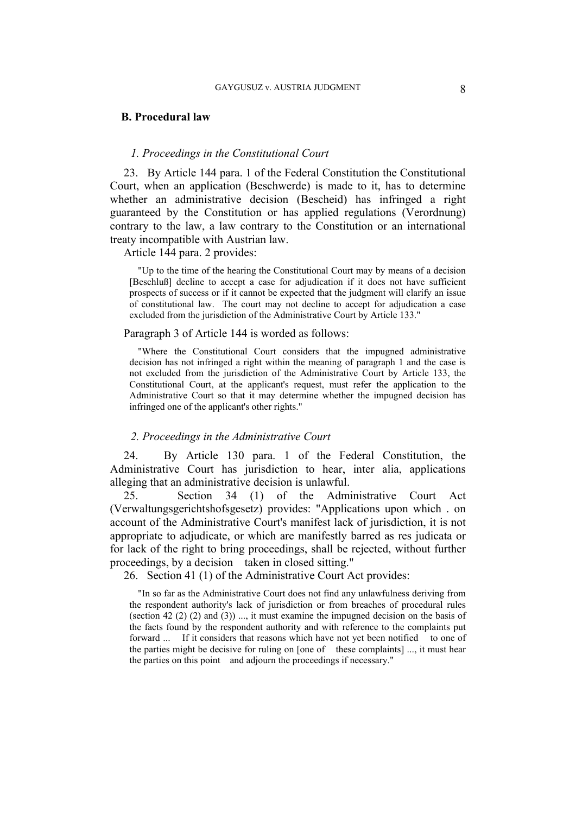### **B. Procedural law**

## *1. Proceedings in the Constitutional Court*

23. By Article 144 para. 1 of the Federal Constitution the Constitutional Court, when an application (Beschwerde) is made to it, has to determine whether an administrative decision (Bescheid) has infringed a right guaranteed by the Constitution or has applied regulations (Verordnung) contrary to the law, a law contrary to the Constitution or an international treaty incompatible with Austrian law.

Article 144 para. 2 provides:

"Up to the time of the hearing the Constitutional Court may by means of a decision [Beschluß] decline to accept a case for adjudication if it does not have sufficient prospects of success or if it cannot be expected that the judgment will clarify an issue of constitutional law. The court may not decline to accept for adjudication a case excluded from the jurisdiction of the Administrative Court by Article 133."

#### Paragraph 3 of Article 144 is worded as follows:

"Where the Constitutional Court considers that the impugned administrative decision has not infringed a right within the meaning of paragraph 1 and the case is not excluded from the jurisdiction of the Administrative Court by Article 133, the Constitutional Court, at the applicant's request, must refer the application to the Administrative Court so that it may determine whether the impugned decision has infringed one of the applicant's other rights."

#### *2. Proceedings in the Administrative Court*

24. By Article 130 para. 1 of the Federal Constitution, the Administrative Court has jurisdiction to hear, inter alia, applications alleging that an administrative decision is unlawful.

25. Section 34 (1) of the Administrative Court Act (Verwaltungsgerichtshofsgesetz) provides: "Applications upon which . on account of the Administrative Court's manifest lack of jurisdiction, it is not appropriate to adjudicate, or which are manifestly barred as res judicata or for lack of the right to bring proceedings, shall be rejected, without further proceedings, by a decision taken in closed sitting."

26. Section 41 (1) of the Administrative Court Act provides:

"In so far as the Administrative Court does not find any unlawfulness deriving from the respondent authority's lack of jurisdiction or from breaches of procedural rules (section 42  $(2)$   $(2)$  and  $(3)$ ) ..., it must examine the impugned decision on the basis of the facts found by the respondent authority and with reference to the complaints put forward ... If it considers that reasons which have not yet been notified to one of the parties might be decisive for ruling on [one of these complaints] ..., it must hear the parties on this point and adjourn the proceedings if necessary."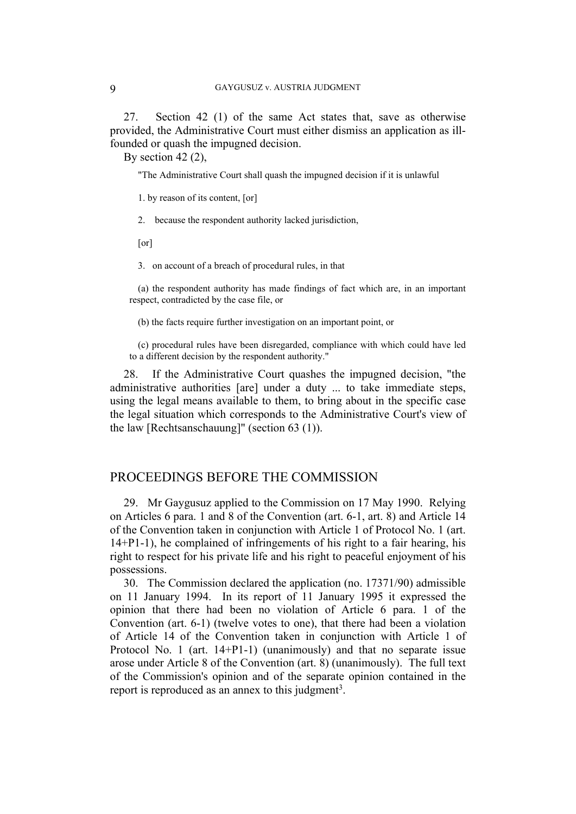27. Section 42 (1) of the same Act states that, save as otherwise provided, the Administrative Court must either dismiss an application as illfounded or quash the impugned decision.

By section 42 (2),

"The Administrative Court shall quash the impugned decision if it is unlawful

1. by reason of its content, [or]

2. because the respondent authority lacked jurisdiction,

[or]

3. on account of a breach of procedural rules, in that

(a) the respondent authority has made findings of fact which are, in an important respect, contradicted by the case file, or

(b) the facts require further investigation on an important point, or

(c) procedural rules have been disregarded, compliance with which could have led to a different decision by the respondent authority."

28. If the Administrative Court quashes the impugned decision, "the administrative authorities [are] under a duty ... to take immediate steps, using the legal means available to them, to bring about in the specific case the legal situation which corresponds to the Administrative Court's view of the law [Rechtsanschauung]" (section 63 (1)).

# PROCEEDINGS BEFORE THE COMMISSION

29. Mr Gaygusuz applied to the Commission on 17 May 1990. Relying on Articles 6 para. 1 and 8 of the Convention (art. 6-1, art. 8) and Article 14 of the Convention taken in conjunction with Article 1 of Protocol No. 1 (art. 14+P1-1), he complained of infringements of his right to a fair hearing, his right to respect for his private life and his right to peaceful enjoyment of his possessions.

30. The Commission declared the application (no. 17371/90) admissible on 11 January 1994. In its report of 11 January 1995 it expressed the opinion that there had been no violation of Article 6 para. 1 of the Convention (art. 6-1) (twelve votes to one), that there had been a violation of Article 14 of the Convention taken in conjunction with Article 1 of Protocol No. 1 (art. 14+P1-1) (unanimously) and that no separate issue arose under Article 8 of the Convention (art. 8) (unanimously). The full text of the Commission's opinion and of the separate opinion contained in the report is reproduced as an annex to this judgment<sup>3</sup>.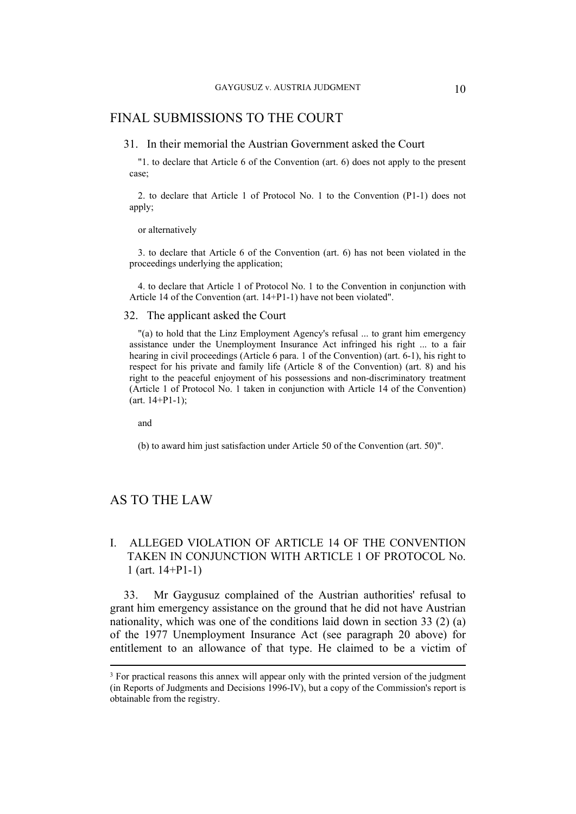# FINAL SUBMISSIONS TO THE COURT

#### 31. In their memorial the Austrian Government asked the Court

"1. to declare that Article 6 of the Convention (art. 6) does not apply to the present case;

2. to declare that Article 1 of Protocol No. 1 to the Convention (P1-1) does not apply;

#### or alternatively

3. to declare that Article 6 of the Convention (art. 6) has not been violated in the proceedings underlying the application;

4. to declare that Article 1 of Protocol No. 1 to the Convention in conjunction with Article 14 of the Convention (art. 14+P1-1) have not been violated".

#### 32. The applicant asked the Court

"(a) to hold that the Linz Employment Agency's refusal ... to grant him emergency assistance under the Unemployment Insurance Act infringed his right ... to a fair hearing in civil proceedings (Article 6 para. 1 of the Convention) (art. 6-1), his right to respect for his private and family life (Article 8 of the Convention) (art. 8) and his right to the peaceful enjoyment of his possessions and non-discriminatory treatment (Article 1 of Protocol No. 1 taken in conjunction with Article 14 of the Convention)  $(art. 14+P1-1);$ 

and

(b) to award him just satisfaction under Article 50 of the Convention (art. 50)".

# AS TO THE LAW

# I. ALLEGED VIOLATION OF ARTICLE 14 OF THE CONVENTION TAKEN IN CONJUNCTION WITH ARTICLE 1 OF PROTOCOL No. 1 (art. 14+P1-1)

33. Mr Gaygusuz complained of the Austrian authorities' refusal to grant him emergency assistance on the ground that he did not have Austrian nationality, which was one of the conditions laid down in section 33 (2) (a) of the 1977 Unemployment Insurance Act (see paragraph 20 above) for entitlement to an allowance of that type. He claimed to be a victim of

<sup>&</sup>lt;sup>3</sup> For practical reasons this annex will appear only with the printed version of the judgment (in Reports of Judgments and Decisions 1996-IV), but a copy of the Commission's report is obtainable from the registry.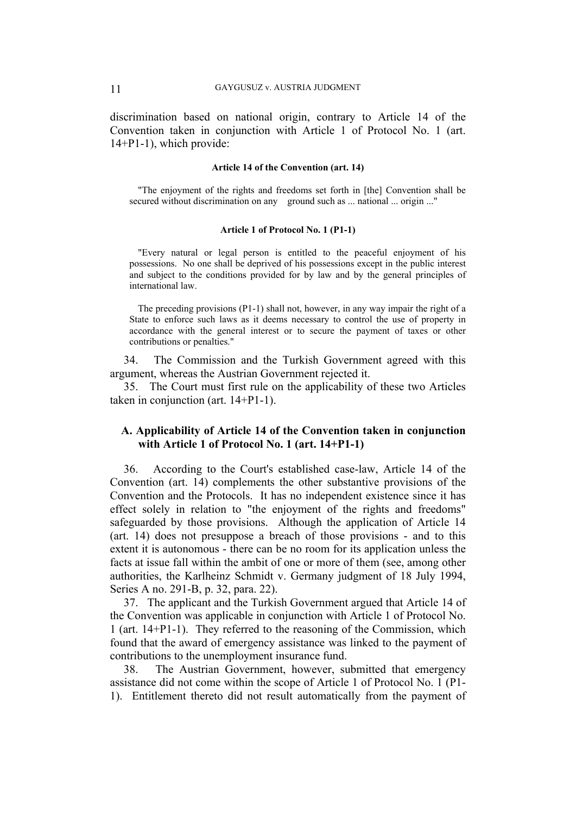discrimination based on national origin, contrary to Article 14 of the Convention taken in conjunction with Article 1 of Protocol No. 1 (art. 14+P1-1), which provide:

#### **Article 14 of the Convention (art. 14)**

"The enjoyment of the rights and freedoms set forth in [the] Convention shall be secured without discrimination on any ground such as ... national ... origin ..."

#### **Article 1 of Protocol No. 1 (P1-1)**

"Every natural or legal person is entitled to the peaceful enjoyment of his possessions. No one shall be deprived of his possessions except in the public interest and subject to the conditions provided for by law and by the general principles of international law.

The preceding provisions (P1-1) shall not, however, in any way impair the right of a State to enforce such laws as it deems necessary to control the use of property in accordance with the general interest or to secure the payment of taxes or other contributions or penalties."

34. The Commission and the Turkish Government agreed with this argument, whereas the Austrian Government rejected it.

35. The Court must first rule on the applicability of these two Articles taken in conjunction (art. 14+P1-1).

# **A. Applicability of Article 14 of the Convention taken in conjunction with Article 1 of Protocol No. 1 (art. 14+P1-1)**

36. According to the Court's established case-law, Article 14 of the Convention (art. 14) complements the other substantive provisions of the Convention and the Protocols. It has no independent existence since it has effect solely in relation to "the enjoyment of the rights and freedoms" safeguarded by those provisions. Although the application of Article 14 (art. 14) does not presuppose a breach of those provisions - and to this extent it is autonomous - there can be no room for its application unless the facts at issue fall within the ambit of one or more of them (see, among other authorities, the Karlheinz Schmidt v. Germany judgment of 18 July 1994, Series A no. 291-B, p. 32, para. 22).

37. The applicant and the Turkish Government argued that Article 14 of the Convention was applicable in conjunction with Article 1 of Protocol No. 1 (art. 14+P1-1). They referred to the reasoning of the Commission, which found that the award of emergency assistance was linked to the payment of contributions to the unemployment insurance fund.

38. The Austrian Government, however, submitted that emergency assistance did not come within the scope of Article 1 of Protocol No. 1 (P1- 1). Entitlement thereto did not result automatically from the payment of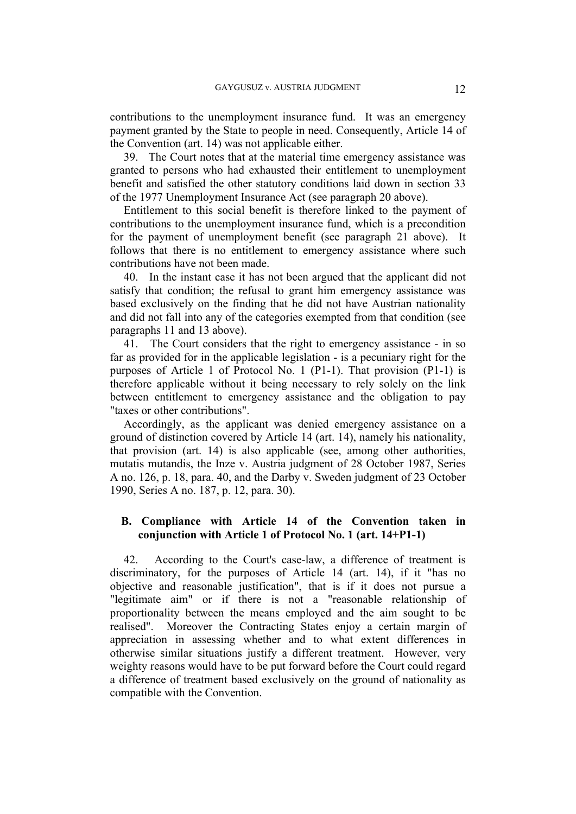contributions to the unemployment insurance fund. It was an emergency payment granted by the State to people in need. Consequently, Article 14 of the Convention (art. 14) was not applicable either.

39. The Court notes that at the material time emergency assistance was granted to persons who had exhausted their entitlement to unemployment benefit and satisfied the other statutory conditions laid down in section 33 of the 1977 Unemployment Insurance Act (see paragraph 20 above).

Entitlement to this social benefit is therefore linked to the payment of contributions to the unemployment insurance fund, which is a precondition for the payment of unemployment benefit (see paragraph 21 above). It follows that there is no entitlement to emergency assistance where such contributions have not been made.

40. In the instant case it has not been argued that the applicant did not satisfy that condition; the refusal to grant him emergency assistance was based exclusively on the finding that he did not have Austrian nationality and did not fall into any of the categories exempted from that condition (see paragraphs 11 and 13 above).

41. The Court considers that the right to emergency assistance - in so far as provided for in the applicable legislation - is a pecuniary right for the purposes of Article 1 of Protocol No. 1 (P1-1). That provision (P1-1) is therefore applicable without it being necessary to rely solely on the link between entitlement to emergency assistance and the obligation to pay "taxes or other contributions".

Accordingly, as the applicant was denied emergency assistance on a ground of distinction covered by Article 14 (art. 14), namely his nationality, that provision (art. 14) is also applicable (see, among other authorities, mutatis mutandis, the Inze v. Austria judgment of 28 October 1987, Series A no. 126, p. 18, para. 40, and the Darby v. Sweden judgment of 23 October 1990, Series A no. 187, p. 12, para. 30).

# **B. Compliance with Article 14 of the Convention taken in conjunction with Article 1 of Protocol No. 1 (art. 14+P1-1)**

42. According to the Court's case-law, a difference of treatment is discriminatory, for the purposes of Article 14 (art. 14), if it "has no objective and reasonable justification", that is if it does not pursue a "legitimate aim" or if there is not a "reasonable relationship of proportionality between the means employed and the aim sought to be realised". Moreover the Contracting States enjoy a certain margin of appreciation in assessing whether and to what extent differences in otherwise similar situations justify a different treatment. However, very weighty reasons would have to be put forward before the Court could regard a difference of treatment based exclusively on the ground of nationality as compatible with the Convention.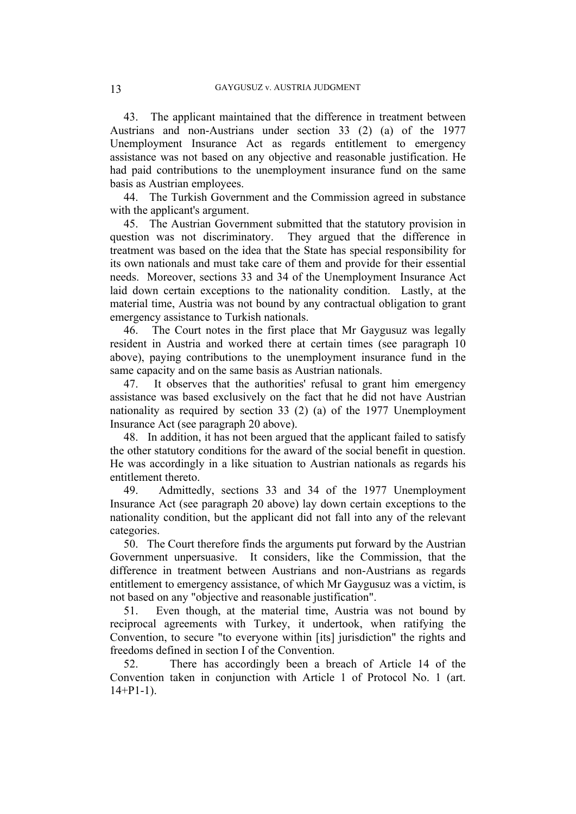43. The applicant maintained that the difference in treatment between Austrians and non-Austrians under section 33 (2) (a) of the 1977 Unemployment Insurance Act as regards entitlement to emergency assistance was not based on any objective and reasonable justification. He had paid contributions to the unemployment insurance fund on the same basis as Austrian employees.

44. The Turkish Government and the Commission agreed in substance with the applicant's argument.

45. The Austrian Government submitted that the statutory provision in question was not discriminatory. They argued that the difference in treatment was based on the idea that the State has special responsibility for its own nationals and must take care of them and provide for their essential needs. Moreover, sections 33 and 34 of the Unemployment Insurance Act laid down certain exceptions to the nationality condition. Lastly, at the material time, Austria was not bound by any contractual obligation to grant emergency assistance to Turkish nationals.

46. The Court notes in the first place that Mr Gaygusuz was legally resident in Austria and worked there at certain times (see paragraph 10 above), paying contributions to the unemployment insurance fund in the same capacity and on the same basis as Austrian nationals.

47. It observes that the authorities' refusal to grant him emergency assistance was based exclusively on the fact that he did not have Austrian nationality as required by section 33 (2) (a) of the 1977 Unemployment Insurance Act (see paragraph 20 above).

48. In addition, it has not been argued that the applicant failed to satisfy the other statutory conditions for the award of the social benefit in question. He was accordingly in a like situation to Austrian nationals as regards his entitlement thereto.

49. Admittedly, sections 33 and 34 of the 1977 Unemployment Insurance Act (see paragraph 20 above) lay down certain exceptions to the nationality condition, but the applicant did not fall into any of the relevant categories.

50. The Court therefore finds the arguments put forward by the Austrian Government unpersuasive. It considers, like the Commission, that the difference in treatment between Austrians and non-Austrians as regards entitlement to emergency assistance, of which Mr Gaygusuz was a victim, is not based on any "objective and reasonable justification".

51. Even though, at the material time, Austria was not bound by reciprocal agreements with Turkey, it undertook, when ratifying the Convention, to secure "to everyone within [its] jurisdiction" the rights and freedoms defined in section I of the Convention.

52. There has accordingly been a breach of Article 14 of the Convention taken in conjunction with Article 1 of Protocol No. 1 (art.  $14+P1-1$ ).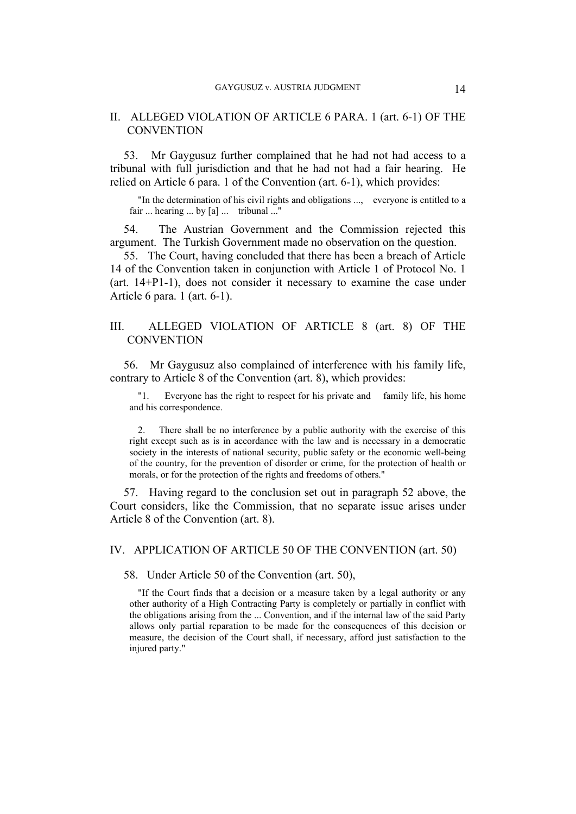# II. ALLEGED VIOLATION OF ARTICLE 6 PARA. 1 (art. 6-1) OF THE **CONVENTION**

53. Mr Gaygusuz further complained that he had not had access to a tribunal with full jurisdiction and that he had not had a fair hearing. He relied on Article 6 para. 1 of the Convention (art. 6-1), which provides:

"In the determination of his civil rights and obligations ..., everyone is entitled to a fair ... hearing ... by [a] ... tribunal ..."

54. The Austrian Government and the Commission rejected this argument. The Turkish Government made no observation on the question.

55. The Court, having concluded that there has been a breach of Article 14 of the Convention taken in conjunction with Article 1 of Protocol No. 1 (art. 14+P1-1), does not consider it necessary to examine the case under Article 6 para. 1 (art. 6-1).

# III. ALLEGED VIOLATION OF ARTICLE 8 (art. 8) OF THE **CONVENTION**

56. Mr Gaygusuz also complained of interference with his family life, contrary to Article 8 of the Convention (art. 8), which provides:

"1. Everyone has the right to respect for his private and family life, his home and his correspondence.

2. There shall be no interference by a public authority with the exercise of this right except such as is in accordance with the law and is necessary in a democratic society in the interests of national security, public safety or the economic well-being of the country, for the prevention of disorder or crime, for the protection of health or morals, or for the protection of the rights and freedoms of others."

57. Having regard to the conclusion set out in paragraph 52 above, the Court considers, like the Commission, that no separate issue arises under Article 8 of the Convention (art. 8).

IV. APPLICATION OF ARTICLE 50 OF THE CONVENTION (art. 50)

58. Under Article 50 of the Convention (art. 50),

"If the Court finds that a decision or a measure taken by a legal authority or any other authority of a High Contracting Party is completely or partially in conflict with the obligations arising from the ... Convention, and if the internal law of the said Party allows only partial reparation to be made for the consequences of this decision or measure, the decision of the Court shall, if necessary, afford just satisfaction to the injured party."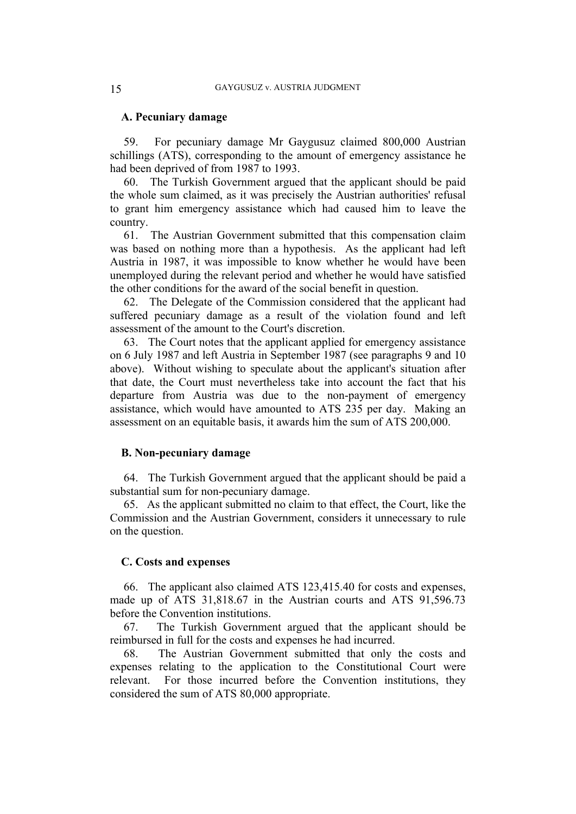# **A. Pecuniary damage**

59. For pecuniary damage Mr Gaygusuz claimed 800,000 Austrian schillings (ATS), corresponding to the amount of emergency assistance he had been deprived of from 1987 to 1993.

60. The Turkish Government argued that the applicant should be paid the whole sum claimed, as it was precisely the Austrian authorities' refusal to grant him emergency assistance which had caused him to leave the country.

61. The Austrian Government submitted that this compensation claim was based on nothing more than a hypothesis. As the applicant had left Austria in 1987, it was impossible to know whether he would have been unemployed during the relevant period and whether he would have satisfied the other conditions for the award of the social benefit in question.

62. The Delegate of the Commission considered that the applicant had suffered pecuniary damage as a result of the violation found and left assessment of the amount to the Court's discretion.

63. The Court notes that the applicant applied for emergency assistance on 6 July 1987 and left Austria in September 1987 (see paragraphs 9 and 10 above). Without wishing to speculate about the applicant's situation after that date, the Court must nevertheless take into account the fact that his departure from Austria was due to the non-payment of emergency assistance, which would have amounted to ATS 235 per day. Making an assessment on an equitable basis, it awards him the sum of ATS 200,000.

### **B. Non-pecuniary damage**

64. The Turkish Government argued that the applicant should be paid a substantial sum for non-pecuniary damage.

65. As the applicant submitted no claim to that effect, the Court, like the Commission and the Austrian Government, considers it unnecessary to rule on the question.

# **C. Costs and expenses**

66. The applicant also claimed ATS 123,415.40 for costs and expenses, made up of ATS 31,818.67 in the Austrian courts and ATS 91,596.73 before the Convention institutions.

67. The Turkish Government argued that the applicant should be reimbursed in full for the costs and expenses he had incurred.

68. The Austrian Government submitted that only the costs and expenses relating to the application to the Constitutional Court were relevant. For those incurred before the Convention institutions, they considered the sum of ATS 80,000 appropriate.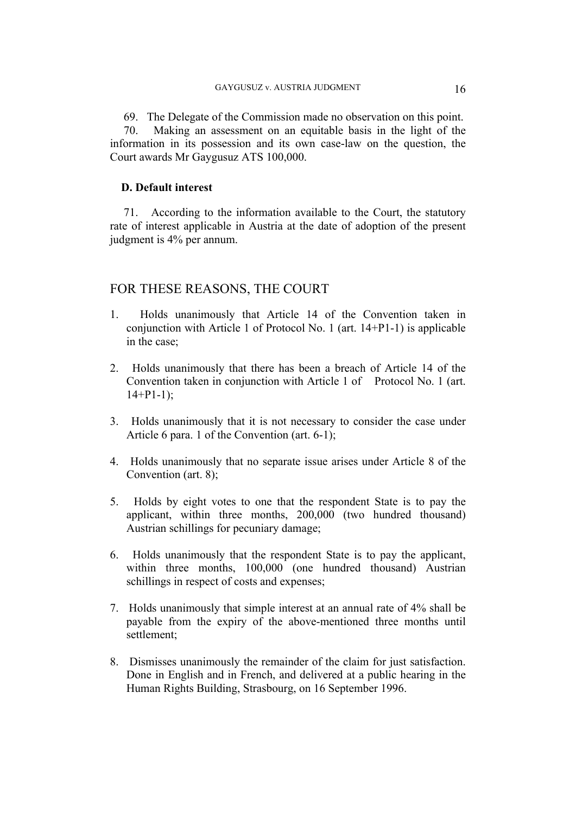69. The Delegate of the Commission made no observation on this point. 70. Making an assessment on an equitable basis in the light of the information in its possession and its own case-law on the question, the Court awards Mr Gaygusuz ATS 100,000.

# **D. Default interest**

71. According to the information available to the Court, the statutory rate of interest applicable in Austria at the date of adoption of the present judgment is 4% per annum.

# FOR THESE REASONS, THE COURT

- 1. Holds unanimously that Article 14 of the Convention taken in conjunction with Article 1 of Protocol No. 1 (art. 14+P1-1) is applicable in the case;
- 2. Holds unanimously that there has been a breach of Article 14 of the Convention taken in conjunction with Article 1 of Protocol No. 1 (art.  $14+P1-1$ ;
- 3. Holds unanimously that it is not necessary to consider the case under Article 6 para. 1 of the Convention (art. 6-1);
- 4. Holds unanimously that no separate issue arises under Article 8 of the Convention (art. 8);
- 5. Holds by eight votes to one that the respondent State is to pay the applicant, within three months, 200,000 (two hundred thousand) Austrian schillings for pecuniary damage;
- 6. Holds unanimously that the respondent State is to pay the applicant, within three months, 100,000 (one hundred thousand) Austrian schillings in respect of costs and expenses;
- 7. Holds unanimously that simple interest at an annual rate of 4% shall be payable from the expiry of the above-mentioned three months until settlement;
- 8. Dismisses unanimously the remainder of the claim for just satisfaction. Done in English and in French, and delivered at a public hearing in the Human Rights Building, Strasbourg, on 16 September 1996.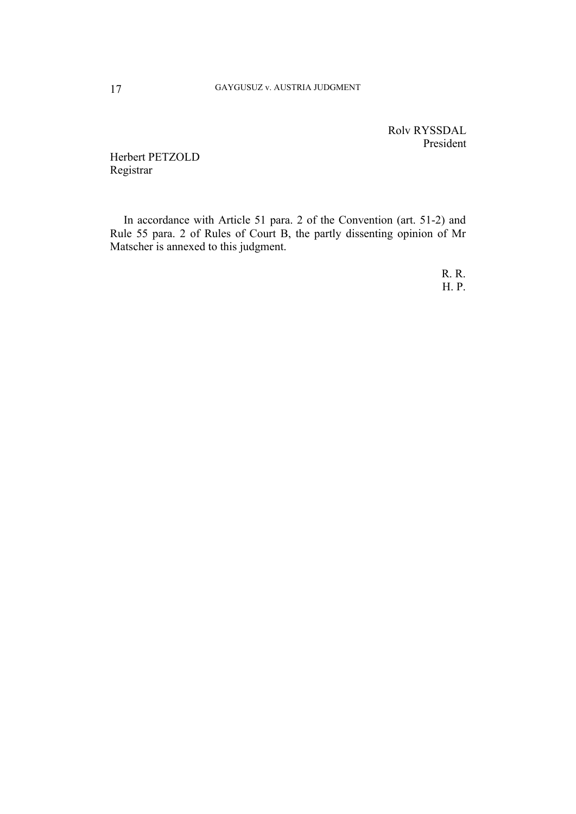Rolv RYSSDAL President

Herbert PETZOLD Registrar

In accordance with Article 51 para. 2 of the Convention (art. 51-2) and Rule 55 para. 2 of Rules of Court B, the partly dissenting opinion of Mr Matscher is annexed to this judgment.

> R. R. H. P.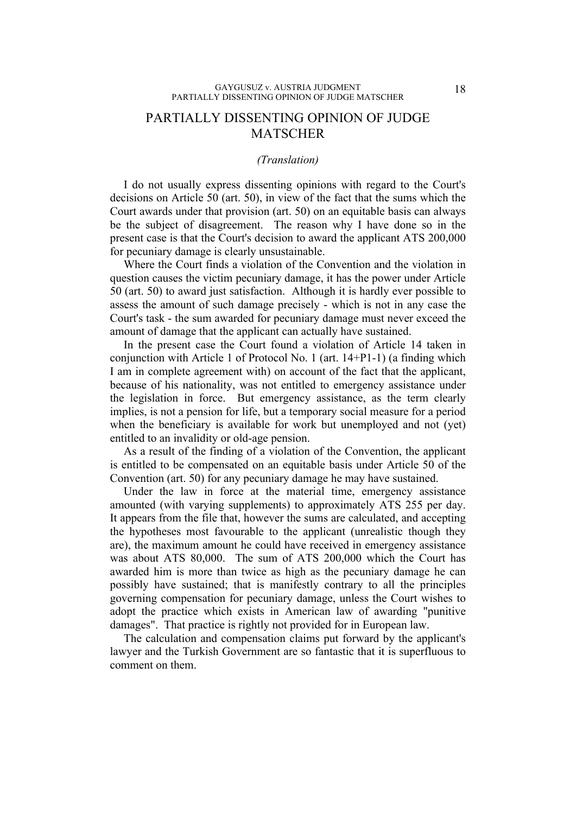# PARTIALLY DISSENTING OPINION OF JUDGE **MATSCHER**

### *(Translation)*

I do not usually express dissenting opinions with regard to the Court's decisions on Article 50 (art. 50), in view of the fact that the sums which the Court awards under that provision (art. 50) on an equitable basis can always be the subject of disagreement. The reason why I have done so in the present case is that the Court's decision to award the applicant ATS 200,000 for pecuniary damage is clearly unsustainable.

Where the Court finds a violation of the Convention and the violation in question causes the victim pecuniary damage, it has the power under Article 50 (art. 50) to award just satisfaction. Although it is hardly ever possible to assess the amount of such damage precisely - which is not in any case the Court's task - the sum awarded for pecuniary damage must never exceed the amount of damage that the applicant can actually have sustained.

In the present case the Court found a violation of Article 14 taken in conjunction with Article 1 of Protocol No. 1 (art. 14+P1-1) (a finding which I am in complete agreement with) on account of the fact that the applicant, because of his nationality, was not entitled to emergency assistance under the legislation in force. But emergency assistance, as the term clearly implies, is not a pension for life, but a temporary social measure for a period when the beneficiary is available for work but unemployed and not (yet) entitled to an invalidity or old-age pension.

As a result of the finding of a violation of the Convention, the applicant is entitled to be compensated on an equitable basis under Article 50 of the Convention (art. 50) for any pecuniary damage he may have sustained.

Under the law in force at the material time, emergency assistance amounted (with varying supplements) to approximately ATS 255 per day. It appears from the file that, however the sums are calculated, and accepting the hypotheses most favourable to the applicant (unrealistic though they are), the maximum amount he could have received in emergency assistance was about ATS 80,000. The sum of ATS 200,000 which the Court has awarded him is more than twice as high as the pecuniary damage he can possibly have sustained; that is manifestly contrary to all the principles governing compensation for pecuniary damage, unless the Court wishes to adopt the practice which exists in American law of awarding "punitive damages". That practice is rightly not provided for in European law.

The calculation and compensation claims put forward by the applicant's lawyer and the Turkish Government are so fantastic that it is superfluous to comment on them.